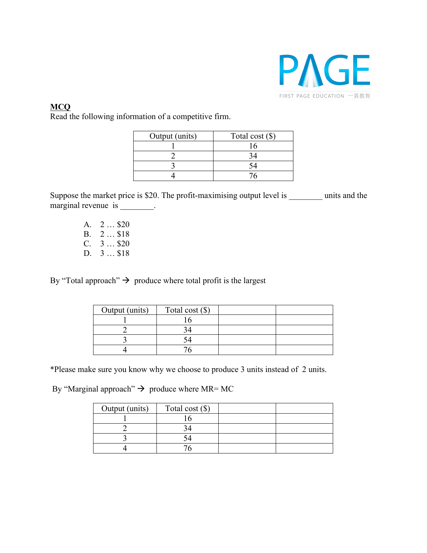

## **MCQ**

Read the following information of a competitive firm.

| Output (units) | Total cost $(\$)$ |
|----------------|-------------------|
|                |                   |
|                |                   |
|                |                   |
|                |                   |

Suppose the market price is \$20. The profit-maximising output level is units and the marginal revenue is \_\_\_\_\_\_\_.

> A. 2 … \$20 B. 2 … \$18 C. 3 … \$20 D. 3 … \$18

By "Total approach"  $\rightarrow$  produce where total profit is the largest

| Output (units) | Total cost $(\$)$ |  |
|----------------|-------------------|--|
|                |                   |  |
|                |                   |  |
|                |                   |  |
|                |                   |  |

\*Please make sure you know why we choose to produce 3 units instead of 2 units.

By "Marginal approach"  $\rightarrow$  produce where MR= MC

| Output (units) | Total cost $(\$)$ |  |
|----------------|-------------------|--|
|                |                   |  |
|                |                   |  |
|                |                   |  |
|                |                   |  |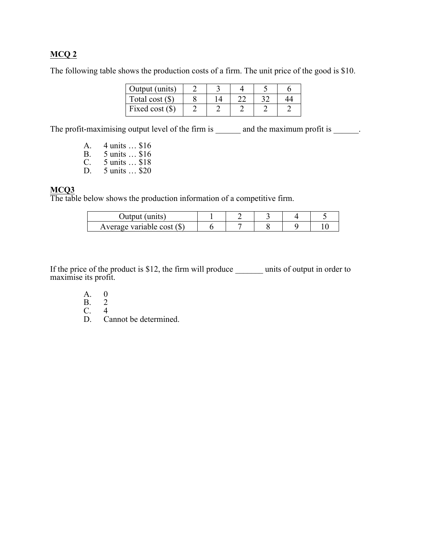## **MCQ 2**

The following table shows the production costs of a firm. The unit price of the good is \$10.

| Output (units)    |  |   |    |  |
|-------------------|--|---|----|--|
| Total cost $(\$)$ |  | ົ | າ^ |  |
| Fixed cost $(\$)$ |  |   |    |  |

The profit-maximising output level of the firm is \_\_\_\_\_\_\_ and the maximum profit is \_\_\_\_\_\_.

- A. 4 units … \$16 B. 5 units … \$16
- C. 5 units … \$18
- D. 5 units … \$20

## **MCQ3**

The table below shows the production information of a competitive firm.

| : (units)<br>Output          |  |  |  |
|------------------------------|--|--|--|
| Average variable cost $(\$)$ |  |  |  |

If the price of the product is \$12, the firm will produce \_\_\_\_\_\_\_ units of output in order to maximise its profit.

- A. 0<br>B. 2
- $\begin{matrix} B. & 2 \\ C. & 4 \end{matrix}$
- C.<br>D.
- Cannot be determined.